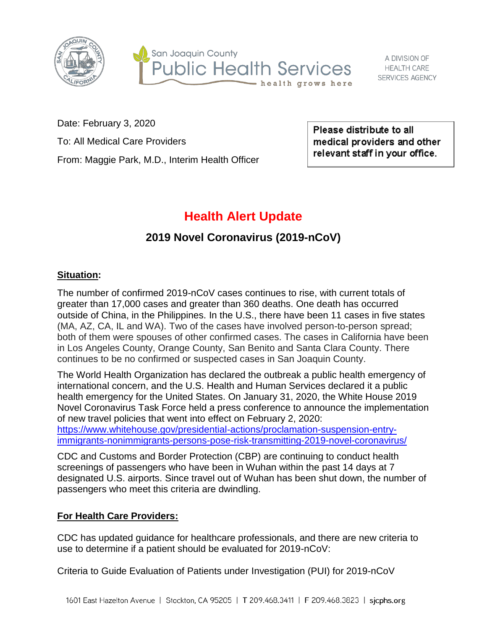



Date: February 3, 2020 To: All Medical Care Providers

From: Maggie Park, M.D., Interim Health Officer

Please distribute to all medical providers and other relevant staff in your office.

# **Health Alert Update**

## **2019 Novel Coronavirus (2019-nCoV)**

#### **Situation:**

The number of confirmed 2019-nCoV cases continues to rise, with current totals of greater than 17,000 cases and greater than 360 deaths. One death has occurred outside of China, in the Philippines. In the U.S., there have been 11 cases in five states (MA, AZ, CA, IL and WA). Two of the cases have involved person-to-person spread; both of them were spouses of other confirmed cases. The cases in California have been in Los Angeles County, Orange County, San Benito and Santa Clara County. There continues to be no confirmed or suspected cases in San Joaquin County.

The World Health Organization has declared the outbreak a public health emergency of international concern, and the U.S. Health and Human Services declared it a public health emergency for the United States. On January 31, 2020, the White House 2019 Novel Coronavirus Task Force held a press conference to announce the implementation of new travel policies that went into effect on February 2, 2020: [https://www.whitehouse.gov/presidential-actions/proclamation-suspension-entry-](https://www.whitehouse.gov/presidential-actions/proclamation-suspension-entry-immigrants-nonimmigrants-persons-pose-risk-transmitting-2019-novel-coronavirus/)

[immigrants-nonimmigrants-persons-pose-risk-transmitting-2019-novel-coronavirus/](https://www.whitehouse.gov/presidential-actions/proclamation-suspension-entry-immigrants-nonimmigrants-persons-pose-risk-transmitting-2019-novel-coronavirus/)

CDC and Customs and Border Protection (CBP) are continuing to conduct health screenings of passengers who have been in Wuhan within the past 14 days at 7 designated U.S. airports. Since travel out of Wuhan has been shut down, the number of passengers who meet this criteria are dwindling.

#### **For Health Care Providers:**

CDC has updated guidance for healthcare professionals, and there are new criteria to use to determine if a patient should be evaluated for 2019-nCoV:

Criteria to Guide Evaluation of Patients under Investigation (PUI) for 2019-nCoV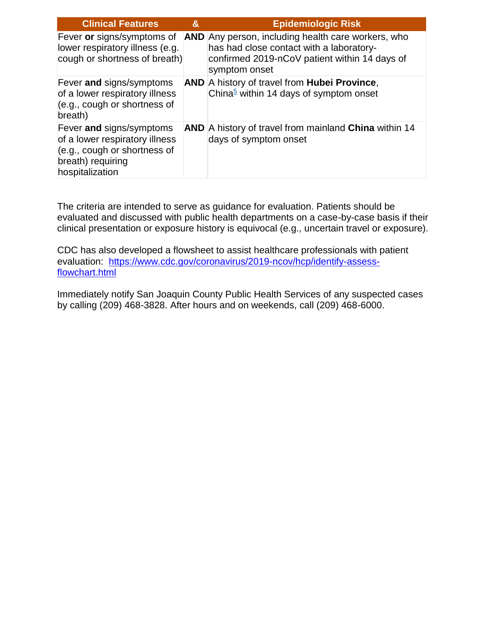| <b>Clinical Features</b>                                                                                                           | & | <b>Epidemiologic Risk</b>                                                                                                                                               |
|------------------------------------------------------------------------------------------------------------------------------------|---|-------------------------------------------------------------------------------------------------------------------------------------------------------------------------|
| Fever or signs/symptoms of<br>lower respiratory illness (e.g.<br>cough or shortness of breath)                                     |   | <b>AND</b> Any person, including health care workers, who<br>has had close contact with a laboratory-<br>confirmed 2019-nCoV patient within 14 days of<br>symptom onset |
| Fever and signs/symptoms<br>of a lower respiratory illness<br>(e.g., cough or shortness of<br>breath)                              |   | <b>AND</b> A history of travel from <b>Hubei Province</b> ,<br>China <sup>5</sup> within 14 days of symptom onset                                                       |
| Fever and signs/symptoms<br>of a lower respiratory illness<br>(e.g., cough or shortness of<br>breath) requiring<br>hospitalization |   | AND A history of travel from mainland China within 14<br>days of symptom onset                                                                                          |

The criteria are intended to serve as guidance for evaluation. Patients should be evaluated and discussed with public health departments on a case-by-case basis if their clinical presentation or exposure history is equivocal (e.g., uncertain travel or exposure).

CDC has also developed a flowsheet to assist healthcare professionals with patient evaluation: [https://www.cdc.gov/coronavirus/2019-ncov/hcp/identify-assess](https://www.cdc.gov/coronavirus/2019-ncov/hcp/identify-assess-flowchart.html)[flowchart.html](https://www.cdc.gov/coronavirus/2019-ncov/hcp/identify-assess-flowchart.html)

Immediately notify San Joaquin County Public Health Services of any suspected cases by calling (209) 468-3828. After hours and on weekends, call (209) 468-6000.